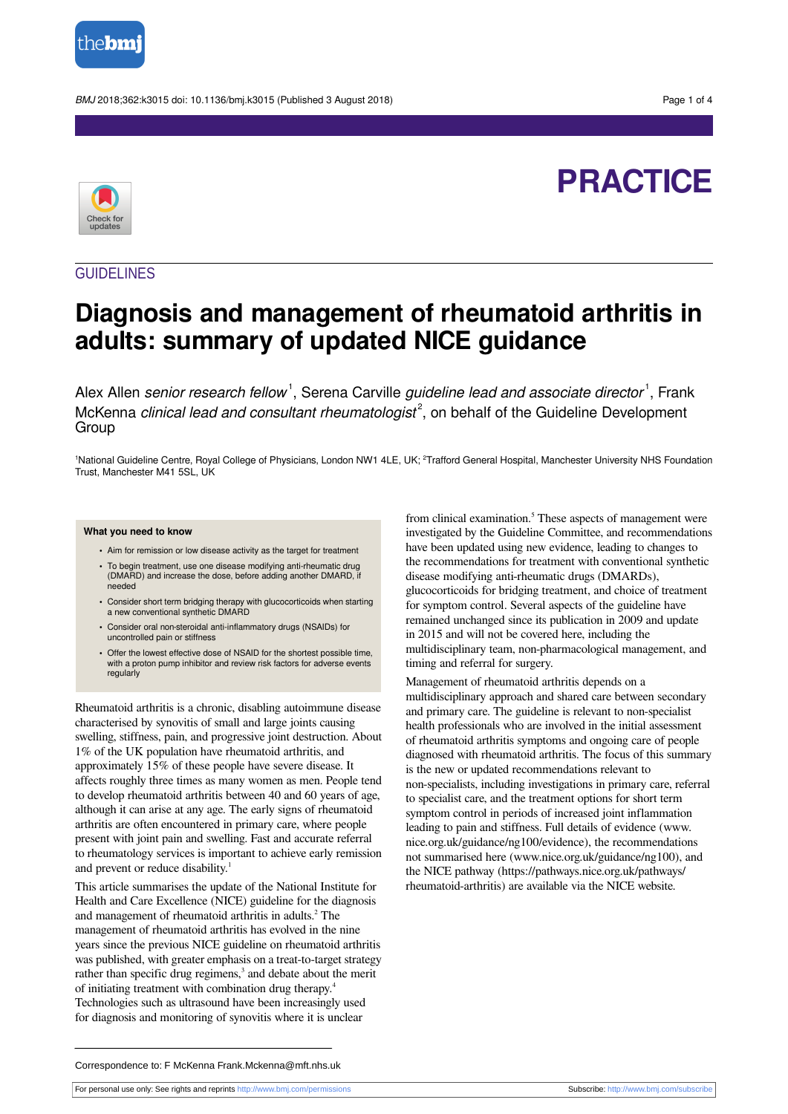

BMJ 2018;362:k3015 doi: 10.1136/bmj.k3015 (Published 3 August 2018) Page 1 of 4

# **PRACTICE**



GUIDELINES

# **Diagnosis and management of rheumatoid arthritis in adults: summary of updated NICE guidance**

Alex Allen *senior research fellow*<sup>1</sup>, Serena Carville *guideline lead and associate director*<sup>1</sup>, Frank McKenna *clinical lead and consultant rheumatologist<sup>2</sup>*, on behalf of the Guideline Development **Group** 

<sup>1</sup>National Guideline Centre, Royal College of Physicians, London NW1 4LE, UK; <sup>2</sup>Trafford General Hospital, Manchester University NHS Foundation Trust, Manchester M41 5SL, UK

#### **What you need to know**

- Aim for remission or low disease activity as the target for treatment
- **•** To begin treatment, use one disease modifying anti-rheumatic drug (DMARD) and increase the dose, before adding another DMARD, if needed
- **•** Consider short term bridging therapy with glucocorticoids when starting a new conventional synthetic DMARD
- **•** Consider oral non-steroidal anti-inflammatory drugs (NSAIDs) for uncontrolled pain or stiffness
- **•** Offer the lowest effective dose of NSAID for the shortest possible time, with a proton pump inhibitor and review risk factors for adverse events regularly

Rheumatoid arthritis is a chronic, disabling autoimmune disease characterised by synovitis of small and large joints causing swelling, stiffness, pain, and progressive joint destruction. About 1% of the UK population have rheumatoid arthritis, and approximately 15% of these people have severe disease. It affects roughly three times as many women as men. People tend to develop rheumatoid arthritis between 40 and 60 years of age, although it can arise at any age. The early signs of rheumatoid arthritis are often encountered in primary care, where people present with joint pain and swelling. Fast and accurate referral to rheumatology services is important to achieve early remission and prevent or reduce disability.<sup>1</sup>

This article summarises the update of the National Institute for Health and Care Excellence (NICE) guideline for the diagnosis and management of rheumatoid arthritis in adults. 2 The management of rheumatoid arthritis has evolved in the nine years since the previous NICE guideline on rheumatoid arthritis was published, with greater emphasis on a treat-to-target strategy rather than specific drug regimens,<sup>3</sup> and debate about the merit of initiating treatment with combination drug therapy. 4 Technologies such as ultrasound have been increasingly used for diagnosis and monitoring of synovitis where it is unclear

from clinical examination.<sup>5</sup> These aspects of management were investigated by the Guideline Committee, and recommendations have been updated using new evidence, leading to changes to the recommendations for treatment with conventional synthetic disease modifying anti-rheumatic drugs (DMARDs), glucocorticoids for bridging treatment, and choice of treatment for symptom control. Several aspects of the guideline have remained unchanged since its publication in 2009 and update in 2015 and will not be covered here, including the multidisciplinary team, non-pharmacological management, and timing and referral for surgery.

Management of rheumatoid arthritis depends on a multidisciplinary approach and shared care between secondary and primary care. The guideline is relevant to non-specialist health professionals who are involved in the initial assessment of rheumatoid arthritis symptoms and ongoing care of people diagnosed with rheumatoid arthritis. The focus of this summary is the new or updated recommendations relevant to non-specialists, including investigations in primary care, referral to specialist care, and the treatment options for short term symptom control in periods of increased joint inflammation leading to pain and stiffness. Full details of evidence [\(www.](http://www.nice.org.uk/guidance/ng100/evidence) [nice.org.uk/guidance/ng100/evidence\)](http://www.nice.org.uk/guidance/ng100/evidence), the recommendations not summarised here [\(www.nice.org.uk/guidance/ng100](http://www.nice.org.uk/guidance/ng100)), and the NICE pathway (https://pathways.nice.org.uk/pathways/ rheumatoid-arthritis) are available via the NICE website.

Correspondence to: F McKenna Frank.Mckenna@mft.nhs.uk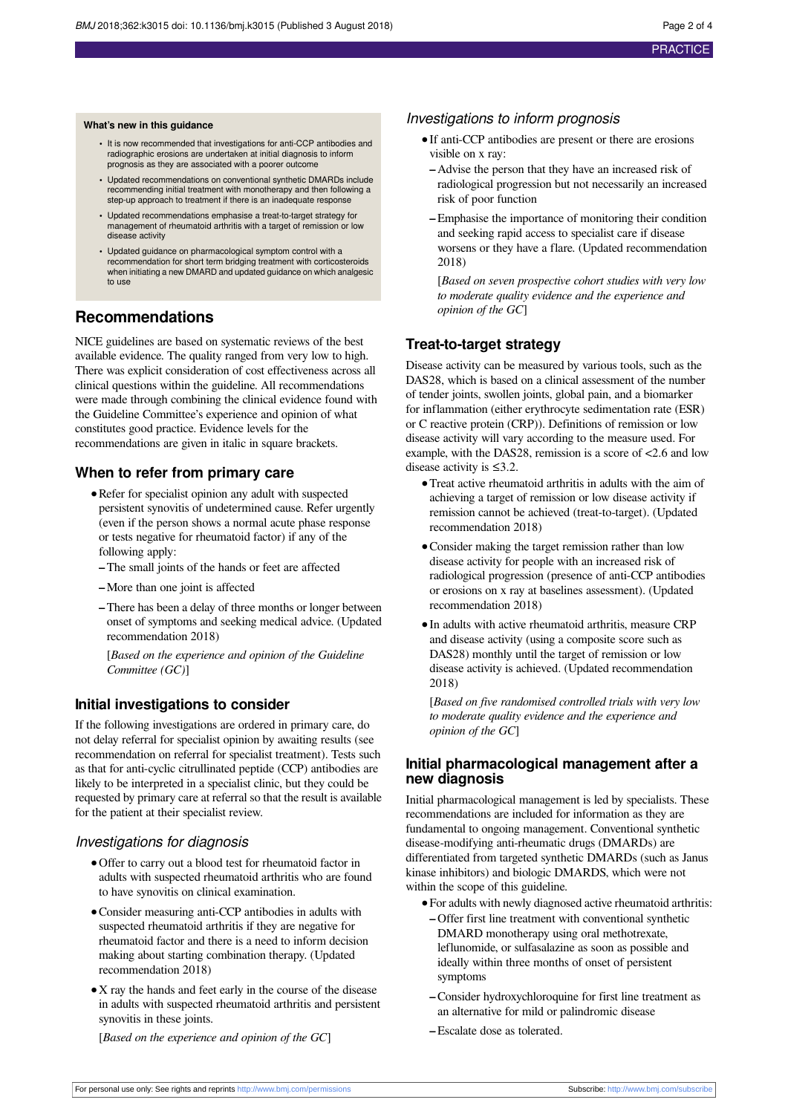#### **What's new in this guidance**

- **•** It is now recommended that investigations for anti-CCP antibodies and radiographic erosions are undertaken at initial diagnosis to inform prognosis as they are associated with a poorer outcome
- **•** Updated recommendations on conventional synthetic DMARDs include recommending initial treatment with monotherapy and then following a step-up approach to treatment if there is an inadequate response
- **•** Updated recommendations emphasise a treat-to-target strategy for management of rheumatoid arthritis with a target of remission or low disease activity
- **•** Updated guidance on pharmacological symptom control with a recommendation for short term bridging treatment with corticosteroids when initiating a new DMARD and updated guidance on which analgesic to use

# **Recommendations**

NICE guidelines are based on systematic reviews of the best available evidence. The quality ranged from very low to high. There was explicit consideration of cost effectiveness across all clinical questions within the guideline. All recommendations were made through combining the clinical evidence found with the Guideline Committee's experience and opinion of what constitutes good practice. Evidence levels for the recommendations are given in italic in square brackets.

# **When to refer from primary care**

- **•**Refer for specialist opinion any adult with suspected persistent synovitis of undetermined cause. Refer urgently (even if the person shows a normal acute phase response or tests negative for rheumatoid factor) if any of the following apply:
- **–**The small joints of the hands or feet are affected
- **–**More than one joint is affected
- **–**There has been a delay of three months or longer between onset of symptoms and seeking medical advice. (Updated recommendation 2018)

[*Based on the experience and opinion of the Guideline Committee (GC)*]

# **Initial investigations to consider**

If the following investigations are ordered in primary care, do not delay referral for specialist opinion by awaiting results (see recommendation on referral for specialist treatment). Tests such as that for anti-cyclic citrullinated peptide (CCP) antibodies are likely to be interpreted in a specialist clinic, but they could be requested by primary care at referral so that the result is available for the patient at their specialist review.

### Investigations for diagnosis

- **•**Offer to carry out a blood test for rheumatoid factor in adults with suspected rheumatoid arthritis who are found to have synovitis on clinical examination.
- **•**Consider measuring anti-CCP antibodies in adults with suspected rheumatoid arthritis if they are negative for rheumatoid factor and there is a need to inform decision making about starting combination therapy. (Updated recommendation 2018)
- **•**X ray the hands and feet early in the course of the disease in adults with suspected rheumatoid arthritis and persistent synovitis in these joints.

[*Based on the experience and opinion of the GC*]

### Investigations to inform prognosis

- **•**If anti-CCP antibodies are present or there are erosions visible on x ray:
- **–** Advise the person that they have an increased risk of radiological progression but not necessarily an increased risk of poor function
- **–**Emphasise the importance of monitoring their condition and seeking rapid access to specialist care if disease worsens or they have a flare. (Updated recommendation 2018)

[*Based on seven prospective cohort studies with very low to moderate quality evidence and the experience and opinion of the GC*]

# **Treat-to-target strategy**

Disease activity can be measured by various tools, such as the DAS28, which is based on a clinical assessment of the number of tender joints, swollen joints, global pain, and a biomarker for inflammation (either erythrocyte sedimentation rate (ESR) or C reactive protein (CRP)). Definitions of remission or low disease activity will vary according to the measure used. For example, with the DAS28, remission is a score of <2.6 and low disease activity is  $\leq 3.2$ .

- **•**Treat active rheumatoid arthritis in adults with the aim of achieving a target of remission or low disease activity if remission cannot be achieved (treat-to-target). (Updated recommendation 2018)
- **•**Consider making the target remission rather than low disease activity for people with an increased risk of radiological progression (presence of anti-CCP antibodies or erosions on x ray at baselines assessment). (Updated recommendation 2018)
- **•**In adults with active rheumatoid arthritis, measure CRP and disease activity (using a composite score such as DAS28) monthly until the target of remission or low disease activity is achieved. (Updated recommendation 2018)

[*Based on five randomised controlled trials with very low to moderate quality evidence and the experience and opinion of the GC*]

#### **Initial pharmacological management after a new diagnosis**

Initial pharmacological management is led by specialists. These recommendations are included for information as they are fundamental to ongoing management. Conventional synthetic disease-modifying anti-rheumatic drugs (DMARDs) are differentiated from targeted synthetic DMARDs (such as Janus kinase inhibitors) and biologic DMARDS, which were not within the scope of this guideline.

- **•**For adults with newly diagnosed active rheumatoid arthritis: **–** Offer first line treatment with conventional synthetic DMARD monotherapy using oral methotrexate, leflunomide, or sulfasalazine as soon as possible and ideally within three months of onset of persistent symptoms
- **–**Consider hydroxychloroquine for first line treatment as an alternative for mild or palindromic disease
- **–**Escalate dose as tolerated.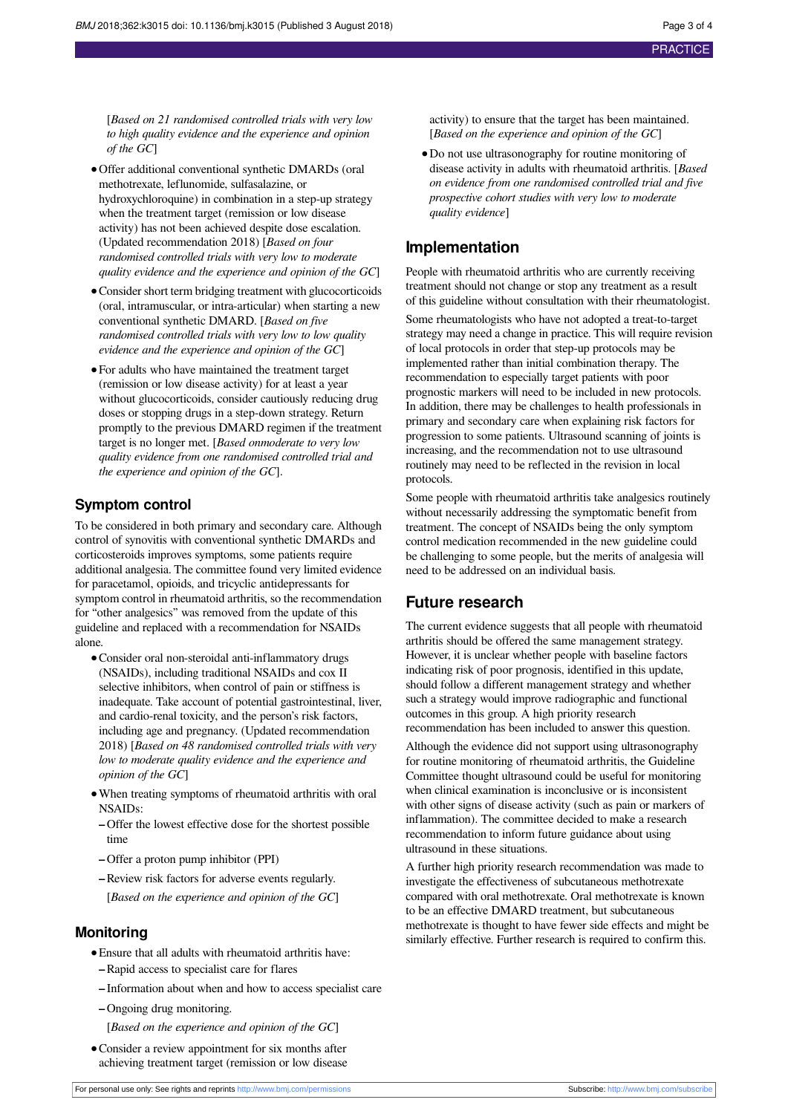[*Based on 21 randomised controlled trials with very low to high quality evidence and the experience and opinion of the GC*]

- **•**Offer additional conventional synthetic DMARDs (oral methotrexate, leflunomide, sulfasalazine, or hydroxychloroquine) in combination in a step-up strategy when the treatment target (remission or low disease activity) has not been achieved despite dose escalation. (Updated recommendation 2018) [*Based on four randomised controlled trials with very low to moderate quality evidence and the experience and opinion of the GC*]
- **•**Consider short term bridging treatment with glucocorticoids (oral, intramuscular, or intra-articular) when starting a new conventional synthetic DMARD. [*Based on five randomised controlled trials with very low to low quality evidence and the experience and opinion of the GC*]
- **•**For adults who have maintained the treatment target (remission or low disease activity) for at least a year without glucocorticoids, consider cautiously reducing drug doses or stopping drugs in a step-down strategy. Return promptly to the previous DMARD regimen if the treatment target is no longer met. [*Based onmoderate to very low quality evidence from one randomised controlled trial and the experience and opinion of the GC*].

#### **Symptom control**

To be considered in both primary and secondary care. Although control of synovitis with conventional synthetic DMARDs and corticosteroids improves symptoms, some patients require additional analgesia. The committee found very limited evidence for paracetamol, opioids, and tricyclic antidepressants for symptom control in rheumatoid arthritis, so the recommendation for "other analgesics" was removed from the update of this guideline and replaced with a recommendation for NSAIDs alone.

- **•**Consider oral non-steroidal anti-inflammatory drugs (NSAIDs), including traditional NSAIDs and cox II selective inhibitors, when control of pain or stiffness is inadequate. Take account of potential gastrointestinal, liver, and cardio-renal toxicity, and the person's risk factors, including age and pregnancy. (Updated recommendation 2018) [*Based on 48 randomised controlled trials with very low to moderate quality evidence and the experience and opinion of the GC*]
- **•**When treating symptoms of rheumatoid arthritis with oral NSAIDs:
- **–** Offer the lowest effective dose for the shortest possible time
- **–** Offer a proton pump inhibitor (PPI)
- **–**Review risk factors for adverse events regularly. [*Based on the experience and opinion of the GC*]

## **Monitoring**

- **•**Ensure that all adults with rheumatoid arthritis have: **–**Rapid access to specialist care for flares
- **–** Information about when and how to access specialist care
- **–** Ongoing drug monitoring.
- [*Based on the experience and opinion of the GC*]
- **•**Consider a review appointment for six months after achieving treatment target (remission or low disease

activity) to ensure that the target has been maintained. [*Based on the experience and opinion of the GC*]

**•**Do not use ultrasonography for routine monitoring of disease activity in adults with rheumatoid arthritis. [*Based on evidence from one randomised controlled trial and five prospective cohort studies with very low to moderate quality evidence*]

#### **Implementation**

People with rheumatoid arthritis who are currently receiving treatment should not change or stop any treatment as a result of this guideline without consultation with their rheumatologist.

Some rheumatologists who have not adopted a treat-to-target strategy may need a change in practice. This will require revision of local protocols in order that step-up protocols may be implemented rather than initial combination therapy. The recommendation to especially target patients with poor prognostic markers will need to be included in new protocols. In addition, there may be challenges to health professionals in primary and secondary care when explaining risk factors for progression to some patients. Ultrasound scanning of joints is increasing, and the recommendation not to use ultrasound routinely may need to be reflected in the revision in local protocols.

Some people with rheumatoid arthritis take analgesics routinely without necessarily addressing the symptomatic benefit from treatment. The concept of NSAIDs being the only symptom control medication recommended in the new guideline could be challenging to some people, but the merits of analgesia will need to be addressed on an individual basis.

### **Future research**

The current evidence suggests that all people with rheumatoid arthritis should be offered the same management strategy. However, it is unclear whether people with baseline factors indicating risk of poor prognosis, identified in this update, should follow a different management strategy and whether such a strategy would improve radiographic and functional outcomes in this group. A high priority research recommendation has been included to answer this question.

Although the evidence did not support using ultrasonography for routine monitoring of rheumatoid arthritis, the Guideline Committee thought ultrasound could be useful for monitoring when clinical examination is inconclusive or is inconsistent with other signs of disease activity (such as pain or markers of inflammation). The committee decided to make a research recommendation to inform future guidance about using ultrasound in these situations.

A further high priority research recommendation was made to investigate the effectiveness of subcutaneous methotrexate compared with oral methotrexate. Oral methotrexate is known to be an effective DMARD treatment, but subcutaneous methotrexate is thought to have fewer side effects and might be similarly effective. Further research is required to confirm this.